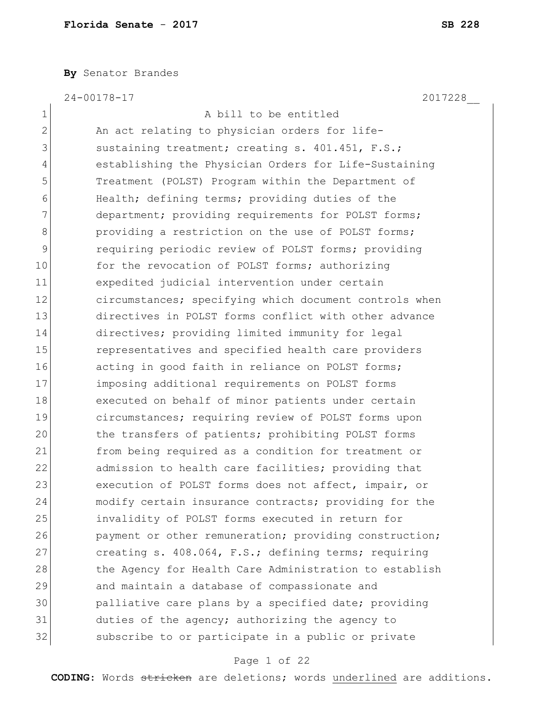**By** Senator Brandes

24-00178-17 2017228\_\_

1 A bill to be entitled 2 An act relating to physician orders for life-3 sustaining treatment; creating s. 401.451, F.S.; 4 establishing the Physician Orders for Life-Sustaining 5 Treatment (POLST) Program within the Department of 6 Health; defining terms; providing duties of the 7 department; providing requirements for POLST forms; 8 8 providing a restriction on the use of POLST forms; 9 requiring periodic review of POLST forms; providing 10 for the revocation of POLST forms; authorizing 11 expedited judicial intervention under certain 12 circumstances; specifying which document controls when 13 directives in POLST forms conflict with other advance 14 directives; providing limited immunity for legal 15 15 representatives and specified health care providers 16 acting in good faith in reliance on POLST forms; 17 imposing additional requirements on POLST forms 18 executed on behalf of minor patients under certain 19 circumstances; requiring review of POLST forms upon 20 the transfers of patients; prohibiting POLST forms 21 from being required as a condition for treatment or 22 admission to health care facilities; providing that 23 execution of POLST forms does not affect, impair, or 24 modify certain insurance contracts; providing for the 25 invalidity of POLST forms executed in return for 26 payment or other remuneration; providing construction; 27 creating s. 408.064, F.S.; defining terms; requiring 28 the Agency for Health Care Administration to establish 29 and maintain a database of compassionate and 30 palliative care plans by a specified date; providing 31 duties of the agency; authorizing the agency to 32 subscribe to or participate in a public or private

#### Page 1 of 22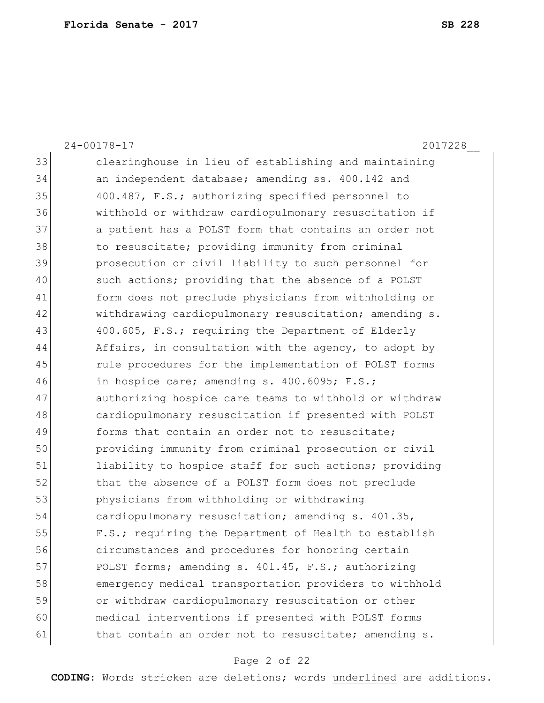24-00178-17 2017228\_\_ 33 clearinghouse in lieu of establishing and maintaining 34 an independent database; amending ss. 400.142 and 35 400.487, F.S.; authorizing specified personnel to 36 withhold or withdraw cardiopulmonary resuscitation if 37 a patient has a POLST form that contains an order not 38 to resuscitate; providing immunity from criminal 39 prosecution or civil liability to such personnel for 40 such actions; providing that the absence of a POLST 41 form does not preclude physicians from withholding or 42 withdrawing cardiopulmonary resuscitation; amending s. 43 400.605, F.S.; requiring the Department of Elderly 44 Affairs, in consultation with the agency, to adopt by 45 rule procedures for the implementation of POLST forms 46 in hospice care; amending s.  $400.6095$ ; F.S.; 47 authorizing hospice care teams to withhold or withdraw 48 cardiopulmonary resuscitation if presented with POLST 49 forms that contain an order not to resuscitate; 50 providing immunity from criminal prosecution or civil 51 liability to hospice staff for such actions; providing 52 that the absence of a POLST form does not preclude 53 physicians from withholding or withdrawing 54 cardiopulmonary resuscitation; amending s. 401.35, 55 F.S.; requiring the Department of Health to establish 56 circumstances and procedures for honoring certain 57 POLST forms; amending s. 401.45, F.S.; authorizing 58 emergency medical transportation providers to withhold 59 or withdraw cardiopulmonary resuscitation or other 60 medical interventions if presented with POLST forms 61 bthat contain an order not to resuscitate; amending s.

#### Page 2 of 22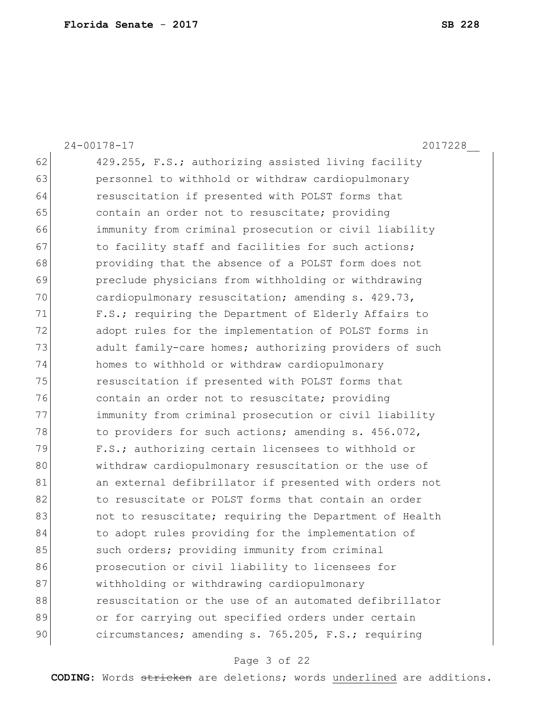24-00178-17 2017228\_\_ 62 429.255, F.S.; authorizing assisted living facility 63 **personnel to withhold or withdraw cardiopulmonary** 64 resuscitation if presented with POLST forms that 65 contain an order not to resuscitate; providing 66 immunity from criminal prosecution or civil liability 67 to facility staff and facilities for such actions; 68 providing that the absence of a POLST form does not 69 preclude physicians from withholding or withdrawing 70 cardiopulmonary resuscitation; amending s. 429.73, 71 F.S.; requiring the Department of Elderly Affairs to 72 adopt rules for the implementation of POLST forms in 73 adult family-care homes; authorizing providers of such 74 homes to withhold or withdraw cardiopulmonary 75 resuscitation if presented with POLST forms that 76 contain an order not to resuscitate; providing 77 immunity from criminal prosecution or civil liability 78 to providers for such actions; amending s. 456.072, 79 F.S.; authorizing certain licensees to withhold or 80 withdraw cardiopulmonary resuscitation or the use of 81 an external defibrillator if presented with orders not 82 to resuscitate or POLST forms that contain an order 83 and to resuscitate; requiring the Department of Health 84 to adopt rules providing for the implementation of 85 such orders; providing immunity from criminal 86 **prosecution or civil liability to licensees for** 87 | withholding or withdrawing cardiopulmonary 88 **resuscitation or the use of an automated defibrillator** 89 or for carrying out specified orders under certain 90 circumstances; amending s. 765.205, F.S.; requiring

#### Page 3 of 22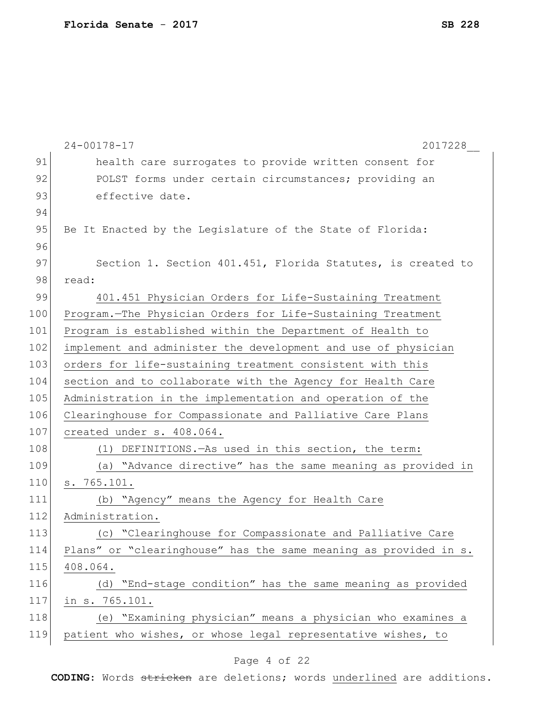|     | $24 - 00178 - 17$<br>2017228                                     |
|-----|------------------------------------------------------------------|
| 91  | health care surrogates to provide written consent for            |
| 92  | POLST forms under certain circumstances; providing an            |
| 93  | effective date.                                                  |
| 94  |                                                                  |
| 95  | Be It Enacted by the Legislature of the State of Florida:        |
| 96  |                                                                  |
| 97  | Section 1. Section 401.451, Florida Statutes, is created to      |
| 98  | read:                                                            |
| 99  | 401.451 Physician Orders for Life-Sustaining Treatment           |
| 100 | Program.-The Physician Orders for Life-Sustaining Treatment      |
| 101 | Program is established within the Department of Health to        |
| 102 | implement and administer the development and use of physician    |
| 103 | orders for life-sustaining treatment consistent with this        |
| 104 | section and to collaborate with the Agency for Health Care       |
| 105 | Administration in the implementation and operation of the        |
| 106 | Clearinghouse for Compassionate and Palliative Care Plans        |
| 107 | created under s. 408.064.                                        |
| 108 | (1) DEFINITIONS. - As used in this section, the term:            |
| 109 | (a) "Advance directive" has the same meaning as provided in      |
| 110 | s. 765.101.                                                      |
| 111 | (b) "Agency" means the Agency for Health Care                    |
| 112 | Administration.                                                  |
| 113 | (c) "Clearinghouse for Compassionate and Palliative Care         |
| 114 | Plans" or "clearinghouse" has the same meaning as provided in s. |
| 115 | 408.064.                                                         |
| 116 | (d) "End-stage condition" has the same meaning as provided       |
| 117 | in s. 765.101.                                                   |
| 118 | (e) "Examining physician" means a physician who examines a       |
| 119 | patient who wishes, or whose legal representative wishes, to     |
|     |                                                                  |

#### Page 4 of 22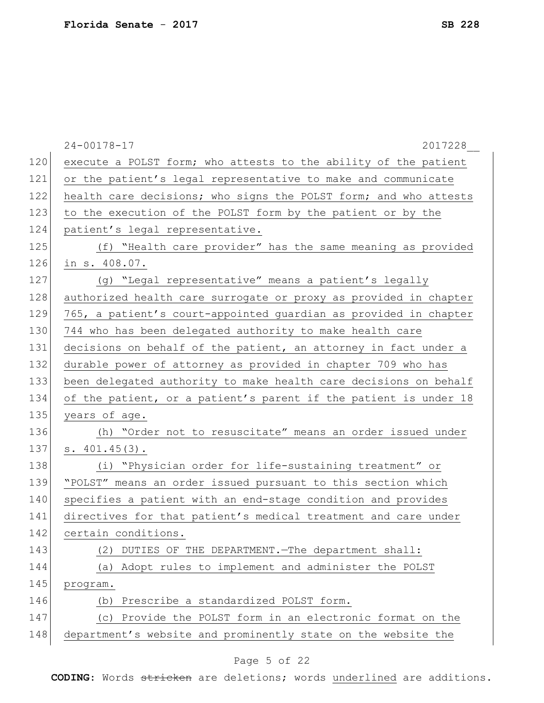|     | $24 - 00178 - 17$<br>2017228                                     |
|-----|------------------------------------------------------------------|
| 120 | execute a POLST form; who attests to the ability of the patient  |
| 121 | or the patient's legal representative to make and communicate    |
| 122 | health care decisions; who signs the POLST form; and who attests |
| 123 | to the execution of the POLST form by the patient or by the      |
| 124 | patient's legal representative.                                  |
| 125 | (f) "Health care provider" has the same meaning as provided      |
| 126 | in s. 408.07.                                                    |
| 127 | (g) "Legal representative" means a patient's legally             |
| 128 | authorized health care surrogate or proxy as provided in chapter |
| 129 | 765, a patient's court-appointed guardian as provided in chapter |
| 130 | 744 who has been delegated authority to make health care         |
| 131 | decisions on behalf of the patient, an attorney in fact under a  |
| 132 | durable power of attorney as provided in chapter 709 who has     |
| 133 | been delegated authority to make health care decisions on behalf |
| 134 | of the patient, or a patient's parent if the patient is under 18 |
| 135 | years of age.                                                    |
| 136 | (h) "Order not to resuscitate" means an order issued under       |
| 137 | s. 401.45(3).                                                    |
| 138 | (i) "Physician order for life-sustaining treatment" or           |
| 139 | "POLST" means an order issued pursuant to this section which     |
| 140 | specifies a patient with an end-stage condition and provides     |
| 141 | directives for that patient's medical treatment and care under   |
| 142 | certain conditions.                                              |
| 143 | DUTIES OF THE DEPARTMENT. - The department shall:<br>(2)         |
| 144 | (a) Adopt rules to implement and administer the POLST            |
| 145 | program.                                                         |
| 146 | Prescribe a standardized POLST form.<br>(d)                      |
| 147 | Provide the POLST form in an electronic format on the<br>(C)     |
| 148 | department's website and prominently state on the website the    |

# Page 5 of 22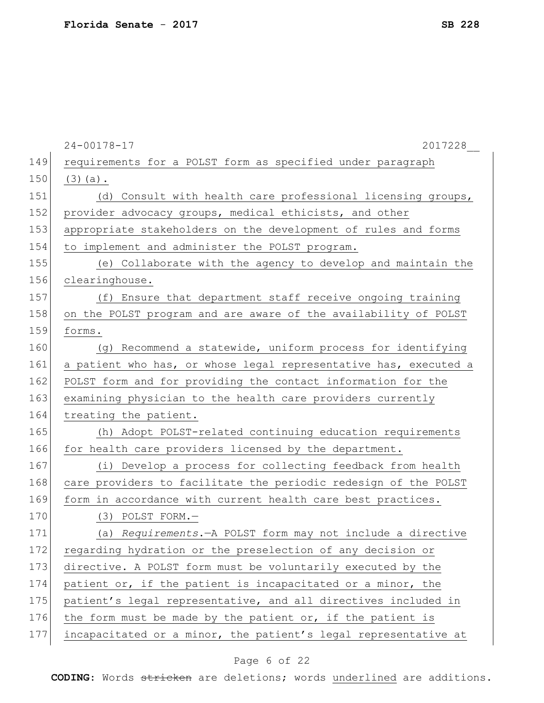| $24 - 00178 - 17$<br>2017228                                     |
|------------------------------------------------------------------|
| requirements for a POLST form as specified under paragraph       |
| $(3)$ (a).                                                       |
| (d) Consult with health care professional licensing groups,      |
| provider advocacy groups, medical ethicists, and other           |
| appropriate stakeholders on the development of rules and forms   |
| to implement and administer the POLST program.                   |
| (e) Collaborate with the agency to develop and maintain the      |
| clearinghouse.                                                   |
| (f) Ensure that department staff receive ongoing training        |
| on the POLST program and are aware of the availability of POLST  |
| forms.                                                           |
| (g) Recommend a statewide, uniform process for identifying       |
| a patient who has, or whose legal representative has, executed a |
| POLST form and for providing the contact information for the     |
| examining physician to the health care providers currently       |
| treating the patient.                                            |
| (h) Adopt POLST-related continuing education requirements        |
| for health care providers licensed by the department.            |
| (i) Develop a process for collecting feedback from health        |
| care providers to facilitate the periodic redesign of the POLST  |
| form in accordance with current health care best practices.      |
| (3) POLST FORM.-                                                 |
| (a) Requirements. - A POLST form may not include a directive     |
| regarding hydration or the preselection of any decision or       |
| directive. A POLST form must be voluntarily executed by the      |
| patient or, if the patient is incapacitated or a minor, the      |
| patient's legal representative, and all directives included in   |
| the form must be made by the patient or, if the patient is       |
| incapacitated or a minor, the patient's legal representative at  |
|                                                                  |

# Page 6 of 22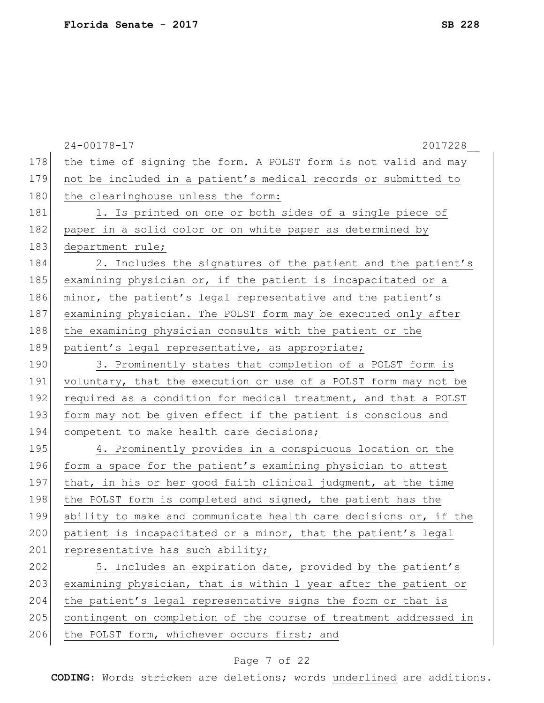|     | $24 - 00178 - 17$<br>2017228                                     |
|-----|------------------------------------------------------------------|
| 178 | the time of signing the form. A POLST form is not valid and may  |
| 179 | not be included in a patient's medical records or submitted to   |
| 180 | the clearinghouse unless the form:                               |
| 181 | 1. Is printed on one or both sides of a single piece of          |
| 182 | paper in a solid color or on white paper as determined by        |
| 183 | department rule;                                                 |
| 184 | 2. Includes the signatures of the patient and the patient's      |
| 185 | examining physician or, if the patient is incapacitated or a     |
| 186 | minor, the patient's legal representative and the patient's      |
| 187 | examining physician. The POLST form may be executed only after   |
| 188 | the examining physician consults with the patient or the         |
| 189 | patient's legal representative, as appropriate;                  |
| 190 | 3. Prominently states that completion of a POLST form is         |
| 191 | voluntary, that the execution or use of a POLST form may not be  |
| 192 | required as a condition for medical treatment, and that a POLST  |
| 193 | form may not be given effect if the patient is conscious and     |
| 194 | competent to make health care decisions;                         |
| 195 | 4. Prominently provides in a conspicuous location on the         |
| 196 | form a space for the patient's examining physician to attest     |
| 197 | that, in his or her good faith clinical judgment, at the time    |
| 198 | the POLST form is completed and signed, the patient has the      |
| 199 | ability to make and communicate health care decisions or, if the |
| 200 | patient is incapacitated or a minor, that the patient's legal    |
| 201 | representative has such ability;                                 |
| 202 | 5. Includes an expiration date, provided by the patient's        |
| 203 | examining physician, that is within 1 year after the patient or  |
| 204 | the patient's legal representative signs the form or that is     |
| 205 | contingent on completion of the course of treatment addressed in |
| 206 | the POLST form, whichever occurs first; and                      |
|     |                                                                  |

# Page 7 of 22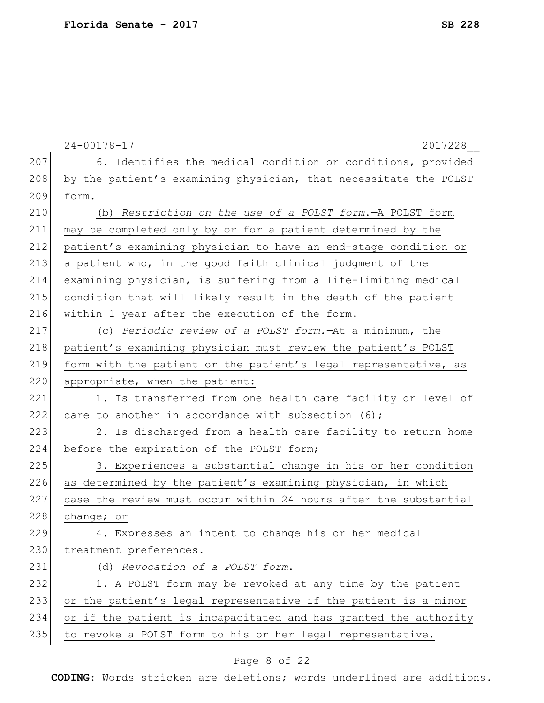|     | $24 - 00178 - 17$<br>2017228                                     |
|-----|------------------------------------------------------------------|
| 207 | 6. Identifies the medical condition or conditions, provided      |
| 208 | by the patient's examining physician, that necessitate the POLST |
| 209 | form.                                                            |
| 210 | (b) Restriction on the use of a POLST form. - A POLST form       |
| 211 | may be completed only by or for a patient determined by the      |
| 212 | patient's examining physician to have an end-stage condition or  |
| 213 | a patient who, in the good faith clinical judgment of the        |
| 214 | examining physician, is suffering from a life-limiting medical   |
| 215 | condition that will likely result in the death of the patient    |
| 216 | within 1 year after the execution of the form.                   |
| 217 | (c) Periodic review of a POLST form. At a minimum, the           |
| 218 | patient's examining physician must review the patient's POLST    |
| 219 | form with the patient or the patient's legal representative, as  |
| 220 | appropriate, when the patient:                                   |
| 221 | 1. Is transferred from one health care facility or level of      |
| 222 | care to another in accordance with subsection (6);               |
| 223 | 2. Is discharged from a health care facility to return home      |
| 224 | before the expiration of the POLST form;                         |
| 225 | 3. Experiences a substantial change in his or her condition      |
| 226 | as determined by the patient's examining physician, in which     |
| 227 | case the review must occur within 24 hours after the substantial |
| 228 | change; or                                                       |
| 229 | 4. Expresses an intent to change his or her medical              |
| 230 | treatment preferences.                                           |
| 231 | (d) Revocation of a POLST form.-                                 |
| 232 | 1. A POLST form may be revoked at any time by the patient        |
| 233 | or the patient's legal representative if the patient is a minor  |
| 234 | or if the patient is incapacitated and has granted the authority |
| 235 | to revoke a POLST form to his or her legal representative.       |

# Page 8 of 22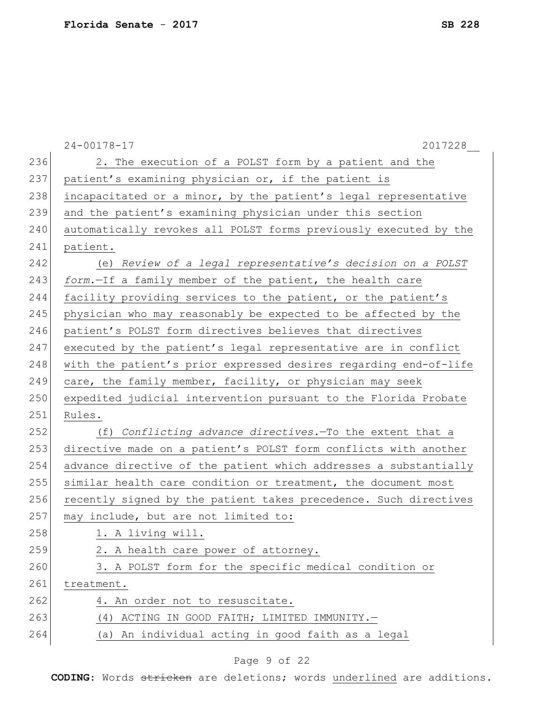|     | $24 - 00178 - 17$<br>2017228                                     |
|-----|------------------------------------------------------------------|
| 236 | 2. The execution of a POLST form by a patient and the            |
| 237 | patient's examining physician or, if the patient is              |
| 238 | incapacitated or a minor, by the patient's legal representative  |
| 239 | and the patient's examining physician under this section         |
| 240 | automatically revokes all POLST forms previously executed by the |
| 241 | patient.                                                         |
| 242 | (e) Review of a legal representative's decision on a POLST       |
| 243 | form. If a family member of the patient, the health care         |
| 244 | facility providing services to the patient, or the patient's     |
| 245 | physician who may reasonably be expected to be affected by the   |
| 246 | patient's POLST form directives believes that directives         |
| 247 | executed by the patient's legal representative are in conflict   |
| 248 | with the patient's prior expressed desires regarding end-of-life |
| 249 | care, the family member, facility, or physician may seek         |
| 250 | expedited judicial intervention pursuant to the Florida Probate  |
| 251 | Rules.                                                           |
| 252 | (f) Conflicting advance directives. To the extent that a         |
| 253 | directive made on a patient's POLST form conflicts with another  |
| 254 | advance directive of the patient which addresses a substantially |
| 255 | similar health care condition or treatment, the document most    |
| 256 | recently signed by the patient takes precedence. Such directives |
| 257 | may include, but are not limited to:                             |
| 258 | 1. A living will.                                                |
| 259 | 2. A health care power of attorney.                              |
| 260 | 3. A POLST form for the specific medical condition or            |
| 261 | treatment.                                                       |
| 262 | 4. An order not to resuscitate.                                  |
| 263 | (4) ACTING IN GOOD FAITH; LIMITED IMMUNITY.-                     |
| 264 | (a) An individual acting in good faith as a legal                |
|     |                                                                  |

# Page 9 of 22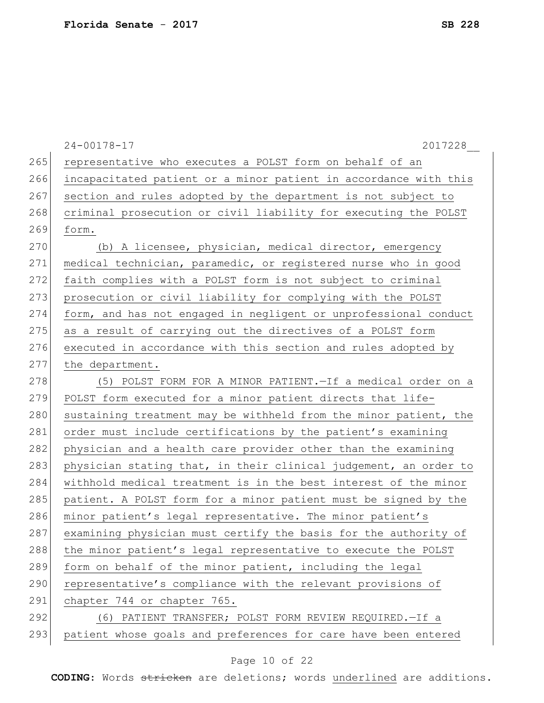|     | 2017228<br>$24 - 00178 - 17$                                     |
|-----|------------------------------------------------------------------|
| 265 | representative who executes a POLST form on behalf of an         |
| 266 | incapacitated patient or a minor patient in accordance with this |
| 267 | section and rules adopted by the department is not subject to    |
| 268 | criminal prosecution or civil liability for executing the POLST  |
| 269 | form.                                                            |
| 270 | (b) A licensee, physician, medical director, emergency           |
| 271 | medical technician, paramedic, or registered nurse who in good   |
| 272 | faith complies with a POLST form is not subject to criminal      |
| 273 | prosecution or civil liability for complying with the POLST      |
| 274 | form, and has not engaged in negligent or unprofessional conduct |
| 275 | as a result of carrying out the directives of a POLST form       |
| 276 | executed in accordance with this section and rules adopted by    |
| 277 | the department.                                                  |
| 278 | (5) POLST FORM FOR A MINOR PATIENT. - If a medical order on a    |
| 279 | POLST form executed for a minor patient directs that life-       |
| 280 | sustaining treatment may be withheld from the minor patient, the |
| 281 | order must include certifications by the patient's examining     |
| 282 | physician and a health care provider other than the examining    |
| 283 | physician stating that, in their clinical judgement, an order to |
| 284 | withhold medical treatment is in the best interest of the minor  |
| 285 | patient. A POLST form for a minor patient must be signed by the  |
| 286 | minor patient's legal representative. The minor patient's        |
| 287 | examining physician must certify the basis for the authority of  |
| 288 | the minor patient's legal representative to execute the POLST    |
| 289 | form on behalf of the minor patient, including the legal         |
| 290 | representative's compliance with the relevant provisions of      |
| 291 | chapter 744 or chapter 765.                                      |
| 292 | (6) PATIENT TRANSFER; POLST FORM REVIEW REQUIRED. - If a         |
| 293 | patient whose goals and preferences for care have been entered   |
|     |                                                                  |

# Page 10 of 22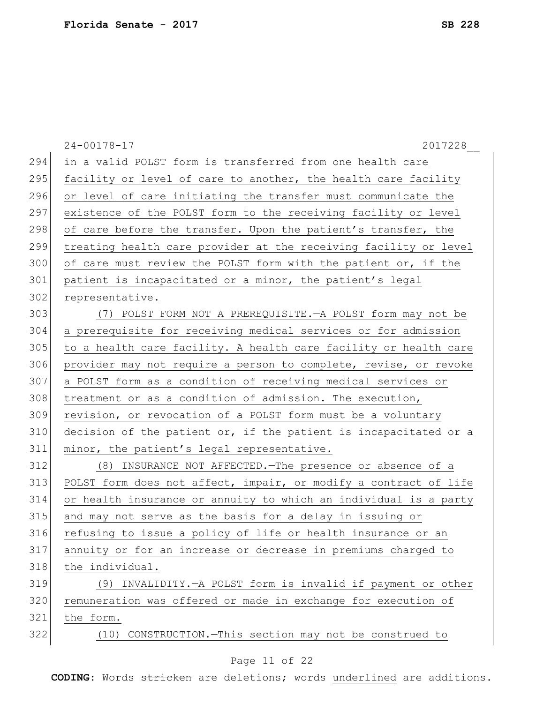|     | $24 - 00178 - 17$<br>2017228                                     |
|-----|------------------------------------------------------------------|
| 294 | in a valid POLST form is transferred from one health care        |
| 295 | facility or level of care to another, the health care facility   |
| 296 | or level of care initiating the transfer must communicate the    |
| 297 | existence of the POLST form to the receiving facility or level   |
| 298 | of care before the transfer. Upon the patient's transfer, the    |
| 299 | treating health care provider at the receiving facility or level |
| 300 | of care must review the POLST form with the patient or, if the   |
| 301 | patient is incapacitated or a minor, the patient's legal         |
| 302 | representative.                                                  |
| 303 | (7) POLST FORM NOT A PREREQUISITE. - A POLST form may not be     |
| 304 | a prerequisite for receiving medical services or for admission   |
| 305 | to a health care facility. A health care facility or health care |
| 306 | provider may not require a person to complete, revise, or revoke |
| 307 | a POLST form as a condition of receiving medical services or     |
| 308 | treatment or as a condition of admission. The execution,         |
| 309 | revision, or revocation of a POLST form must be a voluntary      |
| 310 | decision of the patient or, if the patient is incapacitated or a |
| 311 | minor, the patient's legal representative.                       |
| 312 | (8) INSURANCE NOT AFFECTED. The presence or absence of a         |
| 313 | POLST form does not affect, impair, or modify a contract of life |
| 314 | or health insurance or annuity to which an individual is a party |
| 315 | and may not serve as the basis for a delay in issuing or         |
| 316 | refusing to issue a policy of life or health insurance or an     |
| 317 | annuity or for an increase or decrease in premiums charged to    |
| 318 | the individual.                                                  |
| 319 | (9) INVALIDITY. - A POLST form is invalid if payment or other    |
| 320 | remuneration was offered or made in exchange for execution of    |
| 321 | the form.                                                        |
| 322 | (10) CONSTRUCTION. - This section may not be construed to        |
|     |                                                                  |

# Page 11 of 22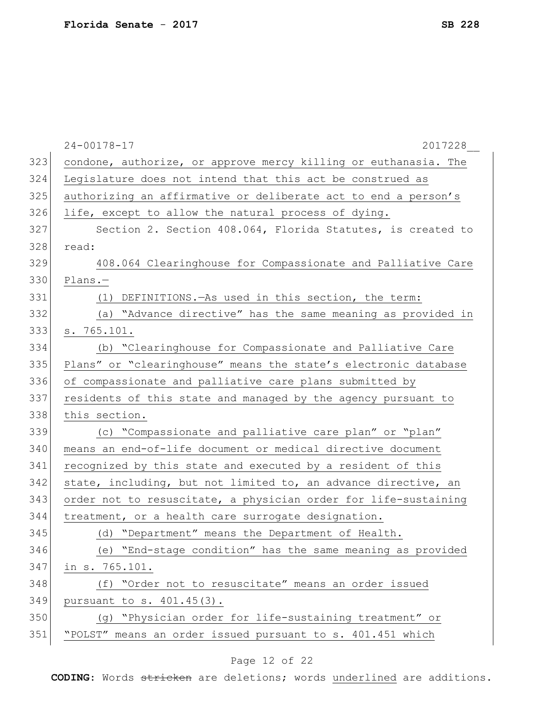|     | $24 - 00178 - 17$<br>2017228                                    |
|-----|-----------------------------------------------------------------|
| 323 | condone, authorize, or approve mercy killing or euthanasia. The |
| 324 | Legislature does not intend that this act be construed as       |
| 325 | authorizing an affirmative or deliberate act to end a person's  |
| 326 | life, except to allow the natural process of dying.             |
| 327 | Section 2. Section 408.064, Florida Statutes, is created to     |
| 328 | read:                                                           |
| 329 | 408.064 Clearinghouse for Compassionate and Palliative Care     |
| 330 | $Plans.$ -                                                      |
| 331 | (1) DEFINITIONS. - As used in this section, the term:           |
| 332 | (a) "Advance directive" has the same meaning as provided in     |
| 333 | s. 765.101.                                                     |
| 334 | (b) "Clearinghouse for Compassionate and Palliative Care        |
| 335 | Plans" or "clearinghouse" means the state's electronic database |
| 336 | of compassionate and palliative care plans submitted by         |
| 337 | residents of this state and managed by the agency pursuant to   |
| 338 | this section.                                                   |
| 339 | (c) "Compassionate and palliative care plan" or "plan"          |
| 340 | means an end-of-life document or medical directive document     |
| 341 | recognized by this state and executed by a resident of this     |
| 342 | state, including, but not limited to, an advance directive, an  |
| 343 | order not to resuscitate, a physician order for life-sustaining |
| 344 | treatment, or a health care surrogate designation.              |
| 345 | (d) "Department" means the Department of Health.                |
| 346 | (e) "End-stage condition" has the same meaning as provided      |
| 347 | in s. 765.101.                                                  |
| 348 | (f) "Order not to resuscitate" means an order issued            |
| 349 | pursuant to s. 401.45(3).                                       |
| 350 | (g) "Physician order for life-sustaining treatment" or          |
| 351 | "POLST" means an order issued pursuant to s. 401.451 which      |
|     |                                                                 |

# Page 12 of 22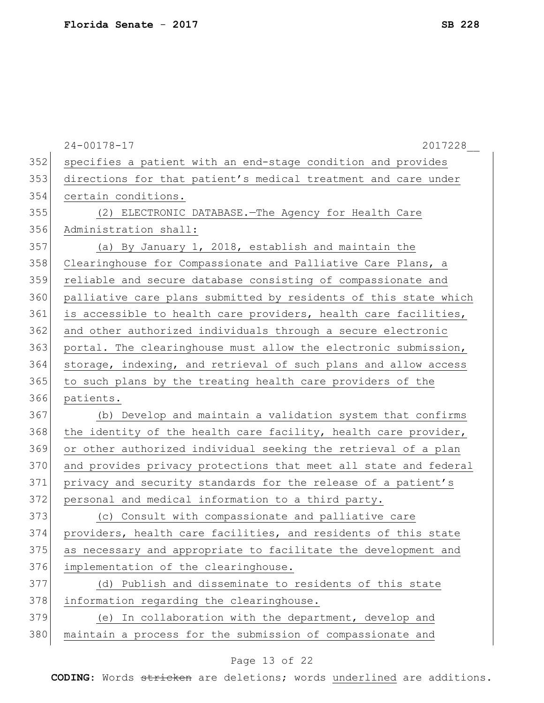|     | $24 - 00178 - 17$<br>2017228                                     |
|-----|------------------------------------------------------------------|
| 352 | specifies a patient with an end-stage condition and provides     |
| 353 | directions for that patient's medical treatment and care under   |
| 354 | certain conditions.                                              |
| 355 | (2) ELECTRONIC DATABASE. - The Agency for Health Care            |
| 356 | Administration shall:                                            |
| 357 | (a) By January 1, 2018, establish and maintain the               |
| 358 | Clearinghouse for Compassionate and Palliative Care Plans, a     |
| 359 | reliable and secure database consisting of compassionate and     |
| 360 | palliative care plans submitted by residents of this state which |
| 361 | is accessible to health care providers, health care facilities,  |
| 362 | and other authorized individuals through a secure electronic     |
| 363 | portal. The clearinghouse must allow the electronic submission,  |
| 364 | storage, indexing, and retrieval of such plans and allow access  |
| 365 | to such plans by the treating health care providers of the       |
| 366 | patients.                                                        |
| 367 | (b) Develop and maintain a validation system that confirms       |
| 368 | the identity of the health care facility, health care provider,  |
| 369 | or other authorized individual seeking the retrieval of a plan   |
| 370 | and provides privacy protections that meet all state and federal |
| 371 | privacy and security standards for the release of a patient's    |
| 372 | personal and medical information to a third party.               |
| 373 | (c) Consult with compassionate and palliative care               |
| 374 | providers, health care facilities, and residents of this state   |
| 375 | as necessary and appropriate to facilitate the development and   |
| 376 | implementation of the clearinghouse.                             |
| 377 | (d) Publish and disseminate to residents of this state           |
| 378 | information regarding the clearinghouse.                         |
| 379 | (e) In collaboration with the department, develop and            |
| 380 | maintain a process for the submission of compassionate and       |

# Page 13 of 22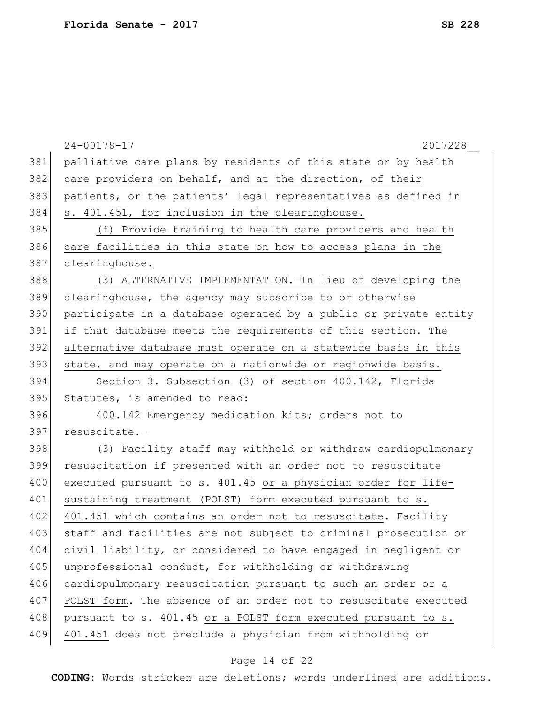|     | $24 - 00178 - 17$<br>2017228                                     |
|-----|------------------------------------------------------------------|
| 381 | palliative care plans by residents of this state or by health    |
| 382 | care providers on behalf, and at the direction, of their         |
| 383 | patients, or the patients' legal representatives as defined in   |
| 384 | s. 401.451, for inclusion in the clearinghouse.                  |
| 385 | (f) Provide training to health care providers and health         |
| 386 | care facilities in this state on how to access plans in the      |
| 387 | clearinghouse.                                                   |
| 388 | (3) ALTERNATIVE IMPLEMENTATION. - In lieu of developing the      |
| 389 | clearinghouse, the agency may subscribe to or otherwise          |
| 390 | participate in a database operated by a public or private entity |
| 391 | if that database meets the requirements of this section. The     |
| 392 | alternative database must operate on a statewide basis in this   |
| 393 | state, and may operate on a nationwide or regionwide basis.      |
| 394 | Section 3. Subsection (3) of section 400.142, Florida            |
| 395 | Statutes, is amended to read:                                    |
| 396 | 400.142 Emergency medication kits; orders not to                 |
| 397 | resuscitate.-                                                    |
| 398 | (3) Facility staff may withhold or withdraw cardiopulmonary      |
| 399 | resuscitation if presented with an order not to resuscitate      |
| 400 | executed pursuant to s. 401.45 or a physician order for life-    |
| 401 | sustaining treatment (POLST) form executed pursuant to s.        |
| 402 | 401.451 which contains an order not to resuscitate. Facility     |
| 403 | staff and facilities are not subject to criminal prosecution or  |
| 404 | civil liability, or considered to have engaged in negligent or   |
| 405 | unprofessional conduct, for withholding or withdrawing           |
| 406 | cardiopulmonary resuscitation pursuant to such an order or a     |
| 407 | POLST form. The absence of an order not to resuscitate executed  |
| 408 | pursuant to s. 401.45 or a POLST form executed pursuant to s.    |
| 409 | 401.451 does not preclude a physician from withholding or        |
|     |                                                                  |

# Page 14 of 22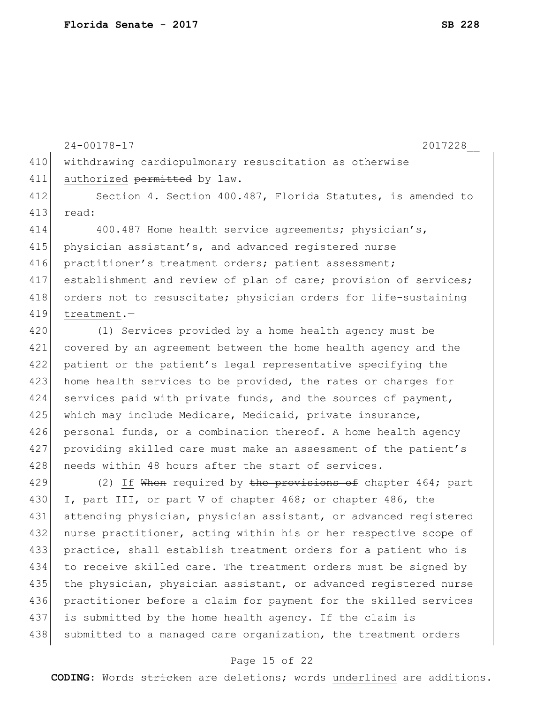24-00178-17 2017228\_\_ 410 withdrawing cardiopulmonary resuscitation as otherwise 411 authorized permitted by law. 412 Section 4. Section 400.487, Florida Statutes, is amended to 413 read: 414 400.487 Home health service agreements; physician's, 415 physician assistant's, and advanced registered nurse 416 practitioner's treatment orders; patient assessment; 417 establishment and review of plan of care; provision of services; 418 orders not to resuscitate; physician orders for life-sustaining 419 treatment.— 420 (1) Services provided by a home health agency must be

421 covered by an agreement between the home health agency and the 422 patient or the patient's legal representative specifying the 423 home health services to be provided, the rates or charges for 424 services paid with private funds, and the sources of payment, 425 which may include Medicare, Medicaid, private insurance, 426 personal funds, or a combination thereof. A home health agency 427 providing skilled care must make an assessment of the patient's 428 needs within 48 hours after the start of services.

429 (2) If When required by the provisions of chapter 464; part 430 I, part III, or part V of chapter 468; or chapter 486, the 431 attending physician, physician assistant, or advanced registered 432 nurse practitioner, acting within his or her respective scope of 433 practice, shall establish treatment orders for a patient who is 434 to receive skilled care. The treatment orders must be signed by 435 the physician, physician assistant, or advanced registered nurse 436 practitioner before a claim for payment for the skilled services 437 is submitted by the home health agency. If the claim is 438 submitted to a managed care organization, the treatment orders

#### Page 15 of 22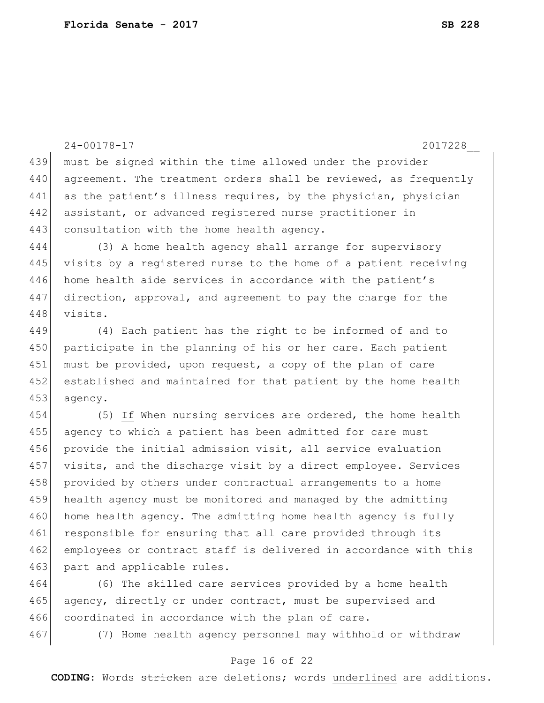```
24-00178-17 2017228__
439 must be signed within the time allowed under the provider
440 agreement. The treatment orders shall be reviewed, as frequently
441 as the patient's illness requires, by the physician, physician
442 assistant, or advanced registered nurse practitioner in
443 consultation with the home health agency.
444 (3) A home health agency shall arrange for supervisory 
445 visits by a registered nurse to the home of a patient receiving
446 home health aide services in accordance with the patient's
447 direction, approval, and agreement to pay the charge for the 
448 visits.
449 (4) Each patient has the right to be informed of and to 
450 participate in the planning of his or her care. Each patient
451 must be provided, upon request, a copy of the plan of care
452 established and maintained for that patient by the home health 
453 agency.
454 (5) If When nursing services are ordered, the home health
455 agency to which a patient has been admitted for care must 
456 provide the initial admission visit, all service evaluation
457 visits, and the discharge visit by a direct employee. Services 
458 provided by others under contractual arrangements to a home
459 health agency must be monitored and managed by the admitting 
460 home health agency. The admitting home health agency is fully
461 responsible for ensuring that all care provided through its
462 employees or contract staff is delivered in accordance with this
463 part and applicable rules.
```
464 (6) The skilled care services provided by a home health 465 agency, directly or under contract, must be supervised and 466 coordinated in accordance with the plan of care.

467 (7) Home health agency personnel may withhold or withdraw

#### Page 16 of 22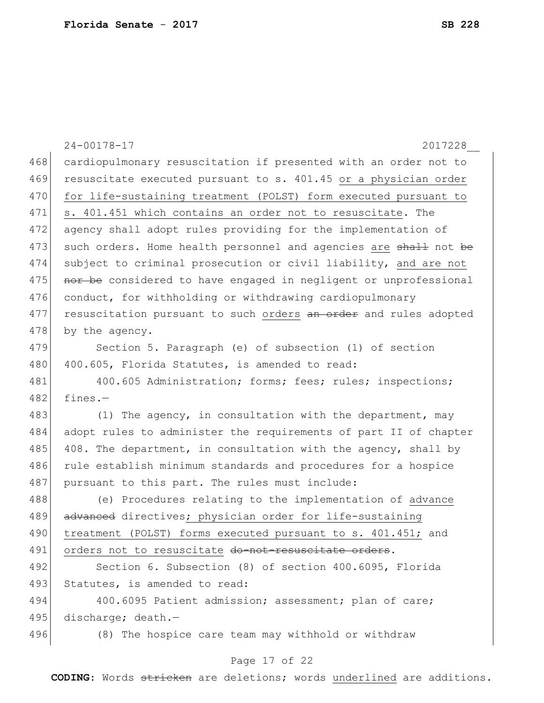|     | $24 - 00178 - 17$<br>2017228                                     |
|-----|------------------------------------------------------------------|
| 468 | cardiopulmonary resuscitation if presented with an order not to  |
| 469 | resuscitate executed pursuant to s. 401.45 or a physician order  |
| 470 | for life-sustaining treatment (POLST) form executed pursuant to  |
| 471 | s. 401.451 which contains an order not to resuscitate. The       |
| 472 | agency shall adopt rules providing for the implementation of     |
| 473 | such orders. Home health personnel and agencies are shall not be |
| 474 | subject to criminal prosecution or civil liability, and are not  |
| 475 | nor be considered to have engaged in negligent or unprofessional |
| 476 | conduct, for withholding or withdrawing cardiopulmonary          |
| 477 | resuscitation pursuant to such orders an order and rules adopted |
| 478 | by the agency.                                                   |
| 479 | Section 5. Paragraph (e) of subsection (1) of section            |
| 480 | 400.605, Florida Statutes, is amended to read:                   |
| 481 | 400.605 Administration; forms; fees; rules; inspections;         |
| 482 | $fines. -$                                                       |
| 483 | (1) The agency, in consultation with the department, may         |
| 484 | adopt rules to administer the requirements of part II of chapter |
| 485 | 408. The department, in consultation with the agency, shall by   |
| 486 | rule establish minimum standards and procedures for a hospice    |
| 487 | pursuant to this part. The rules must include:                   |
| 488 | (e) Procedures relating to the implementation of advance         |
| 489 | advanced directives; physician order for life-sustaining         |
| 490 | treatment (POLST) forms executed pursuant to s. 401.451; and     |
| 491 | orders not to resuscitate do-not-resuscitate orders.             |
| 492 | Section 6. Subsection (8) of section 400.6095, Florida           |
| 493 | Statutes, is amended to read:                                    |
| 494 | 400.6095 Patient admission; assessment; plan of care;            |
| 495 | discharge; death.-                                               |
| 496 | (8) The hospice care team may withhold or withdraw               |

# Page 17 of 22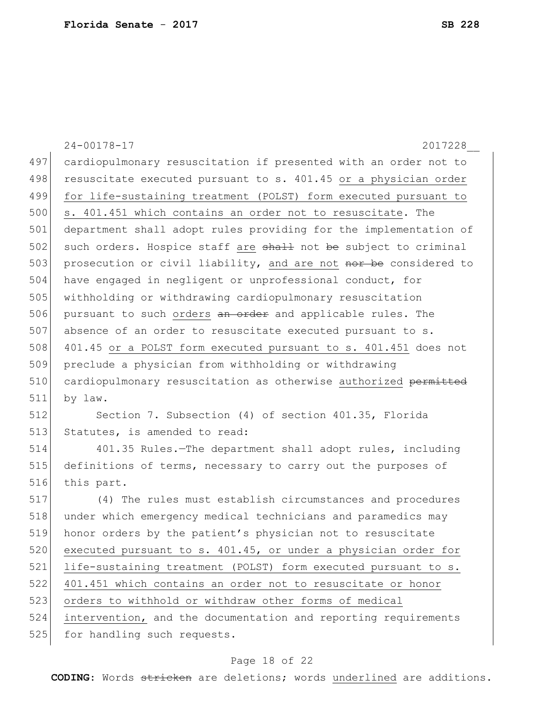|     | $24 - 00178 - 17$<br>2017228                                     |
|-----|------------------------------------------------------------------|
| 497 | cardiopulmonary resuscitation if presented with an order not to  |
| 498 | resuscitate executed pursuant to s. 401.45 or a physician order  |
| 499 | for life-sustaining treatment (POLST) form executed pursuant to  |
| 500 | s. 401.451 which contains an order not to resuscitate. The       |
| 501 | department shall adopt rules providing for the implementation of |
| 502 | such orders. Hospice staff are shall not be subject to criminal  |
| 503 | prosecution or civil liability, and are not nor be considered to |
| 504 | have engaged in negligent or unprofessional conduct, for         |
| 505 | withholding or withdrawing cardiopulmonary resuscitation         |
| 506 | pursuant to such orders an order and applicable rules. The       |
| 507 | absence of an order to resuscitate executed pursuant to s.       |
| 508 | 401.45 or a POLST form executed pursuant to s. 401.451 does not  |
| 509 | preclude a physician from withholding or withdrawing             |
| 510 | cardiopulmonary resuscitation as otherwise authorized permitted  |
| 511 | by law.                                                          |
| 512 | Section 7. Subsection (4) of section 401.35, Florida             |
| 513 | Statutes, is amended to read:                                    |
| 514 | 401.35 Rules.-The department shall adopt rules, including        |
| 515 | definitions of terms, necessary to carry out the purposes of     |
| 516 | this part.                                                       |
| 517 | (4) The rules must establish circumstances and procedures        |
| 518 | under which emergency medical technicians and paramedics may     |
| 519 | honor orders by the patient's physician not to resuscitate       |
| 520 | executed pursuant to s. 401.45, or under a physician order for   |
| 521 | life-sustaining treatment (POLST) form executed pursuant to s.   |
| 522 | 401.451 which contains an order not to resuscitate or honor      |
| 523 | orders to withhold or withdraw other forms of medical            |
| 524 | intervention, and the documentation and reporting requirements   |
| 525 | for handling such requests.                                      |
|     |                                                                  |

# Page 18 of 22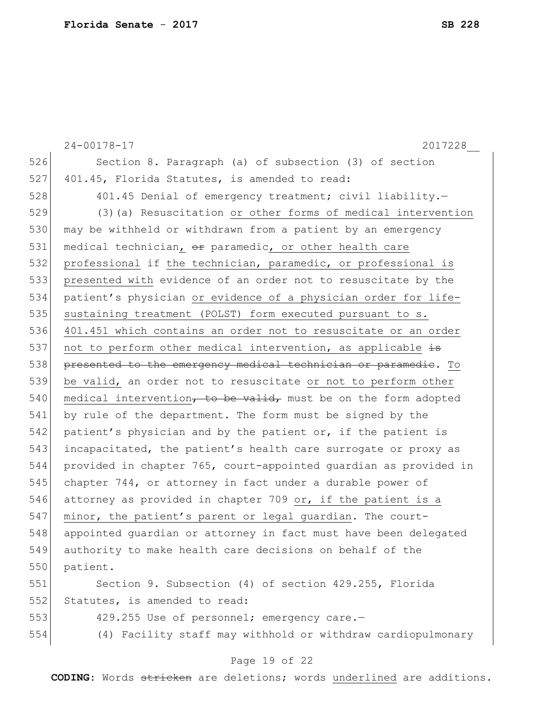|     | $24 - 00178 - 17$<br>2017228                                     |
|-----|------------------------------------------------------------------|
| 526 | Section 8. Paragraph (a) of subsection (3) of section            |
| 527 | 401.45, Florida Statutes, is amended to read:                    |
| 528 | 401.45 Denial of emergency treatment; civil liability.-          |
| 529 | (3) (a) Resuscitation or other forms of medical intervention     |
| 530 | may be withheld or withdrawn from a patient by an emergency      |
| 531 | medical technician, or paramedic, or other health care           |
| 532 | professional if the technician, paramedic, or professional is    |
| 533 | presented with evidence of an order not to resuscitate by the    |
| 534 | patient's physician or evidence of a physician order for life-   |
| 535 | sustaining treatment (POLST) form executed pursuant to s.        |
| 536 | 401.451 which contains an order not to resuscitate or an order   |
| 537 | not to perform other medical intervention, as applicable is      |
| 538 | presented to the emergency medical technician or paramedic. To   |
| 539 | be valid, an order not to resuscitate or not to perform other    |
| 540 | medical intervention, to be valid, must be on the form adopted   |
| 541 | by rule of the department. The form must be signed by the        |
| 542 | patient's physician and by the patient or, if the patient is     |
| 543 | incapacitated, the patient's health care surrogate or proxy as   |
| 544 | provided in chapter 765, court-appointed guardian as provided in |
| 545 | chapter 744, or attorney in fact under a durable power of        |
| 546 | attorney as provided in chapter 709 or, if the patient is a      |
| 547 | minor, the patient's parent or legal guardian. The court-        |
| 548 | appointed quardian or attorney in fact must have been delegated  |
| 549 | authority to make health care decisions on behalf of the         |
| 550 | patient.                                                         |
| 551 | Section 9. Subsection (4) of section 429.255, Florida            |
| 552 | Statutes, is amended to read:                                    |
| 553 | 429.255 Use of personnel; emergency care.-                       |
| 554 | (4) Facility staff may withhold or withdraw cardiopulmonary      |

# Page 19 of 22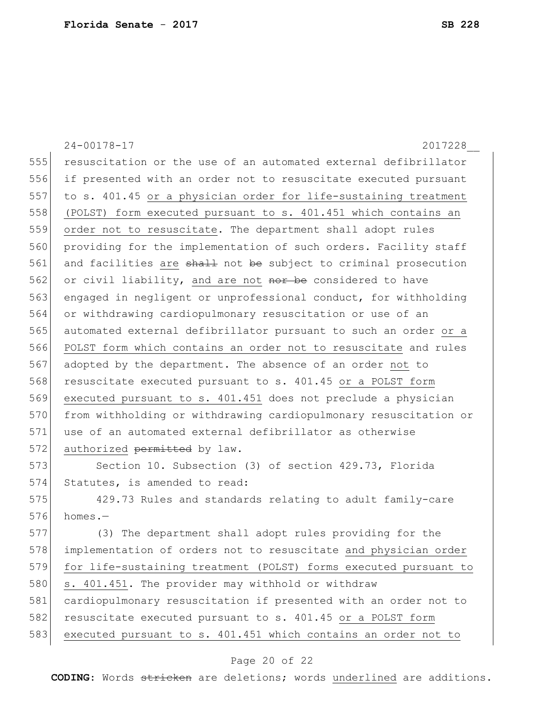|     | $24 - 00178 - 17$<br>2017228                                     |
|-----|------------------------------------------------------------------|
| 555 | resuscitation or the use of an automated external defibrillator  |
| 556 | if presented with an order not to resuscitate executed pursuant  |
| 557 | to s. 401.45 or a physician order for life-sustaining treatment  |
| 558 | (POLST) form executed pursuant to s. 401.451 which contains an   |
| 559 | order not to resuscitate. The department shall adopt rules       |
| 560 | providing for the implementation of such orders. Facility staff  |
| 561 | and facilities are shall not be subject to criminal prosecution  |
| 562 | or civil liability, and are not nor be considered to have        |
| 563 | engaged in negligent or unprofessional conduct, for withholding  |
| 564 | or withdrawing cardiopulmonary resuscitation or use of an        |
| 565 | automated external defibrillator pursuant to such an order or a  |
| 566 | POLST form which contains an order not to resuscitate and rules  |
| 567 | adopted by the department. The absence of an order not to        |
| 568 | resuscitate executed pursuant to s. 401.45 or a POLST form       |
| 569 | executed pursuant to s. 401.451 does not preclude a physician    |
| 570 | from withholding or withdrawing cardiopulmonary resuscitation or |
| 571 | use of an automated external defibrillator as otherwise          |
| 572 | authorized permitted by law.                                     |
| 573 | Section 10. Subsection (3) of section 429.73, Florida            |
| 574 | Statutes, is amended to read:                                    |
| 575 | 429.73 Rules and standards relating to adult family-care         |
| 576 | homes.-                                                          |
| 577 | (3) The department shall adopt rules providing for the           |
| 578 | implementation of orders not to resuscitate and physician order  |
| 579 | for life-sustaining treatment (POLST) forms executed pursuant to |
| 580 | s. 401.451. The provider may withhold or withdraw                |
| 581 | cardiopulmonary resuscitation if presented with an order not to  |
| 582 | resuscitate executed pursuant to s. 401.45 or a POLST form       |
| 583 | executed pursuant to s. 401.451 which contains an order not to   |

# Page 20 of 22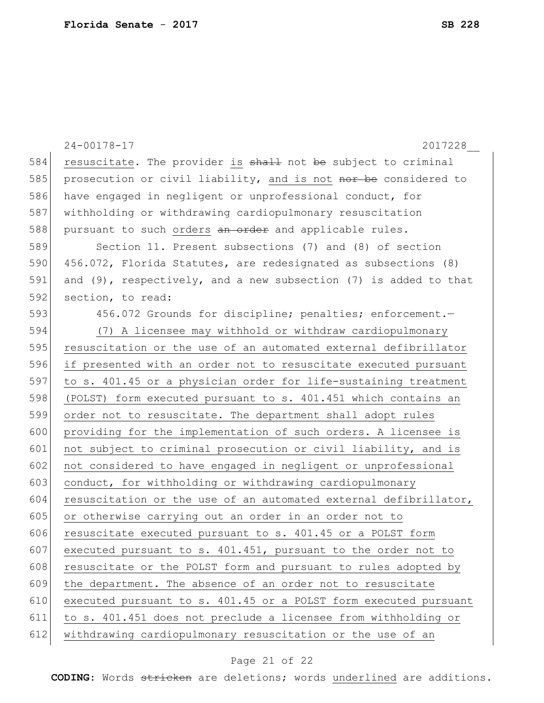|     | $24 - 00178 - 17$<br>2017228                                          |
|-----|-----------------------------------------------------------------------|
| 584 | resuscitate. The provider is shall not be subject to criminal         |
| 585 | prosecution or civil liability, and is not nor be considered to       |
| 586 | have engaged in negligent or unprofessional conduct, for              |
| 587 | withholding or withdrawing cardiopulmonary resuscitation              |
| 588 | pursuant to such orders an order and applicable rules.                |
| 589 | Section 11. Present subsections (7) and (8) of section                |
| 590 | 456.072, Florida Statutes, are redesignated as subsections (8)        |
| 591 | and $(9)$ , respectively, and a new subsection $(7)$ is added to that |
| 592 | section, to read:                                                     |
| 593 | 456.072 Grounds for discipline; penalties; enforcement.-              |
| 594 | (7) A licensee may withhold or withdraw cardiopulmonary               |
| 595 | resuscitation or the use of an automated external defibrillator       |
| 596 | if presented with an order not to resuscitate executed pursuant       |
| 597 | to s. 401.45 or a physician order for life-sustaining treatment       |
| 598 | (POLST) form executed pursuant to s. 401.451 which contains an        |
| 599 | order not to resuscitate. The department shall adopt rules            |
| 600 | providing for the implementation of such orders. A licensee is        |
| 601 | not subject to criminal prosecution or civil liability, and is        |
| 602 | not considered to have engaged in negligent or unprofessional         |
| 603 | conduct, for withholding or withdrawing cardiopulmonary               |
| 604 | resuscitation or the use of an automated external defibrillator,      |
| 605 | or otherwise carrying out an order in an order not to                 |
| 606 | resuscitate executed pursuant to s. 401.45 or a POLST form            |
| 607 | executed pursuant to s. 401.451, pursuant to the order not to         |
| 608 | resuscitate or the POLST form and pursuant to rules adopted by        |
| 609 | the department. The absence of an order not to resuscitate            |
| 610 | executed pursuant to s. 401.45 or a POLST form executed pursuant      |
| 611 | to s. 401.451 does not preclude a licensee from withholding or        |
| 612 | withdrawing cardiopulmonary resuscitation or the use of an            |

# Page 21 of 22